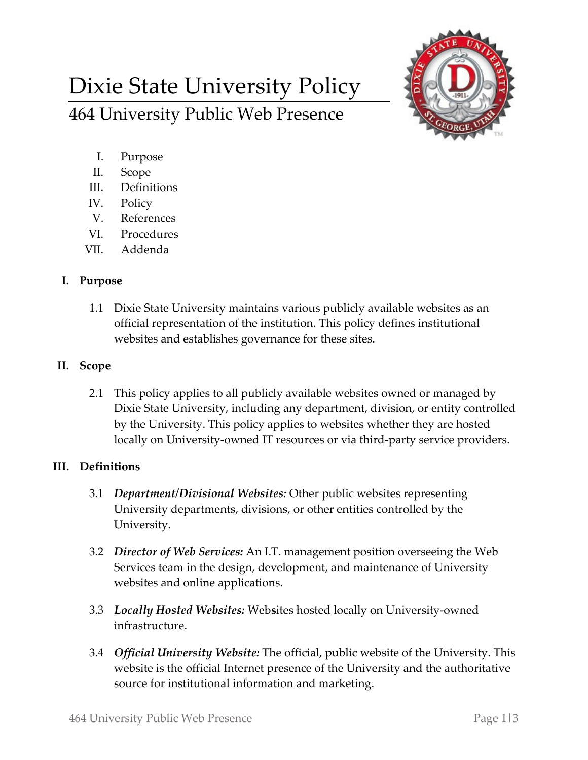# Dixie State University Policy 464 University Public Web Presence



- I. Purpose
- II. Scope
- III. Definitions
- IV. Policy
- V. References
- VI. Procedures
- VII. Addenda

### **I. Purpose**

1.1 Dixie State University maintains various publicly available websites as an official representation of the institution. This policy defines institutional websites and establishes governance for these sites.

#### **II. Scope**

2.1 This policy applies to all publicly available websites owned or managed by Dixie State University, including any department, division, or entity controlled by the University. This policy applies to websites whether they are hosted locally on University-owned IT resources or via third-party service providers.

## **III. Definitions**

- 3.1 *Department/Divisional Websites:* Other public websites representing University departments, divisions, or other entities controlled by the University.
- 3.2 *Director of Web Services:* An I.T. management position overseeing the Web Services team in the design, development, and maintenance of University websites and online applications.
- 3.3 *Locally Hosted Websites:* Web**s**ites hosted locally on University-owned infrastructure.
- 3.4 *Official University Website:* The official, public website of the University. This website is the official Internet presence of the University and the authoritative source for institutional information and marketing.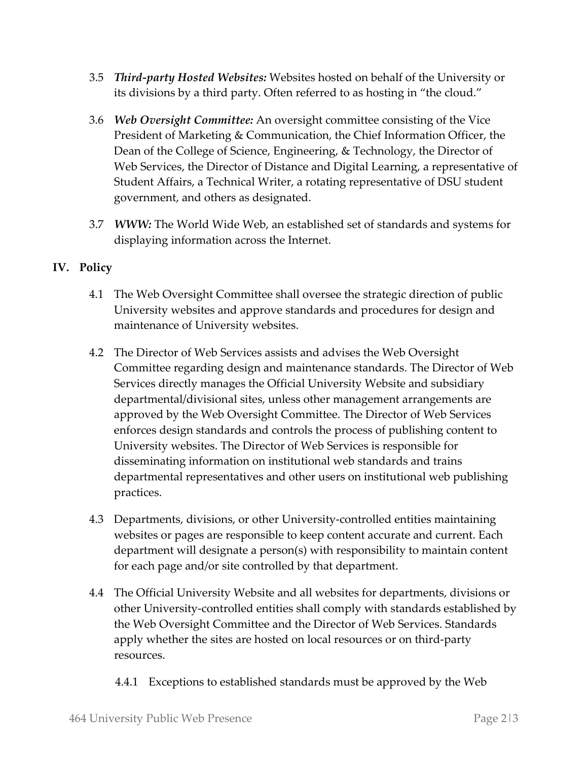- 3.5 *Third-party Hosted Websites:* Websites hosted on behalf of the University or its divisions by a third party. Often referred to as hosting in "the cloud."
- 3.6 *Web Oversight Committee:* An oversight committee consisting of the Vice President of Marketing & Communication, the Chief Information Officer, the Dean of the College of Science, Engineering, & Technology, the Director of Web Services, the Director of Distance and Digital Learning, a representative of Student Affairs, a Technical Writer, a rotating representative of DSU student government, and others as designated.
- 3.7 *WWW:* The World Wide Web, an established set of standards and systems for displaying information across the Internet.

## **IV. Policy**

- 4.1 The Web Oversight Committee shall oversee the strategic direction of public University websites and approve standards and procedures for design and maintenance of University websites.
- 4.2 The Director of Web Services assists and advises the Web Oversight Committee regarding design and maintenance standards. The Director of Web Services directly manages the Official University Website and subsidiary departmental/divisional sites, unless other management arrangements are approved by the Web Oversight Committee. The Director of Web Services enforces design standards and controls the process of publishing content to University websites. The Director of Web Services is responsible for disseminating information on institutional web standards and trains departmental representatives and other users on institutional web publishing practices.
- 4.3 Departments, divisions, or other University-controlled entities maintaining websites or pages are responsible to keep content accurate and current. Each department will designate a person(s) with responsibility to maintain content for each page and/or site controlled by that department.
- 4.4 The Official University Website and all websites for departments, divisions or other University-controlled entities shall comply with standards established by the Web Oversight Committee and the Director of Web Services. Standards apply whether the sites are hosted on local resources or on third-party resources.
	- 4.4.1 Exceptions to established standards must be approved by the Web